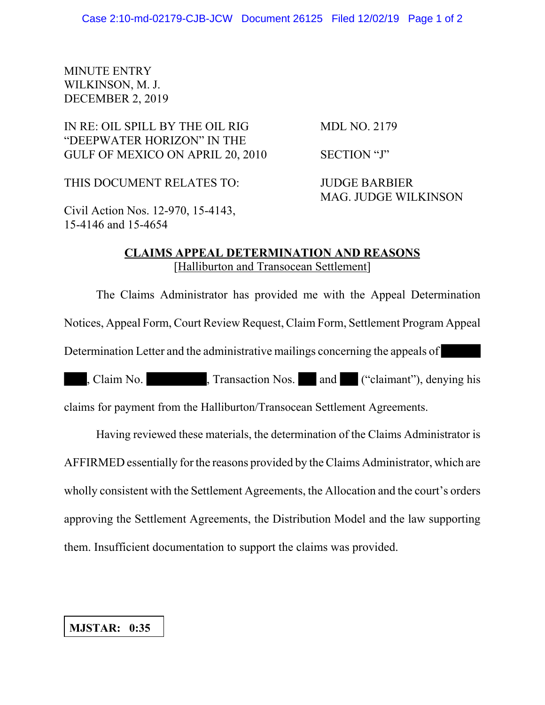## MINUTE ENTRY WILKINSON, M. J. DECEMBER 2, 2019

IN RE: OIL SPILL BY THE OIL RIG MDL NO. 2179 "DEEPWATER HORIZON" IN THE GULF OF MEXICO ON APRIL 20, 2010 SECTION "J"

THIS DOCUMENT RELATES TO: JUDGE BARBIER

MAG. JUDGE WILKINSON

Civil Action Nos. 12-970, 15-4143, 15-4146 and 15-4654

## **CLAIMS APPEAL DETERMINATION AND REASONS** [Halliburton and Transocean Settlement]

The Claims Administrator has provided me with the Appeal Determination Notices, Appeal Form, Court Review Request, Claim Form, Settlement Program Appeal Determination Letter and the administrative mailings concerning the appeals of

, Claim No. , Transaction Nos. and ("claimant"), denying his

claims for payment from the Halliburton/Transocean Settlement Agreements.

Having reviewed these materials, the determination of the Claims Administrator is AFFIRMED essentially for the reasons provided by the Claims Administrator, which are wholly consistent with the Settlement Agreements, the Allocation and the court's orders approving the Settlement Agreements, the Distribution Model and the law supporting them. Insufficient documentation to support the claims was provided.

## **MJSTAR: 0:35**